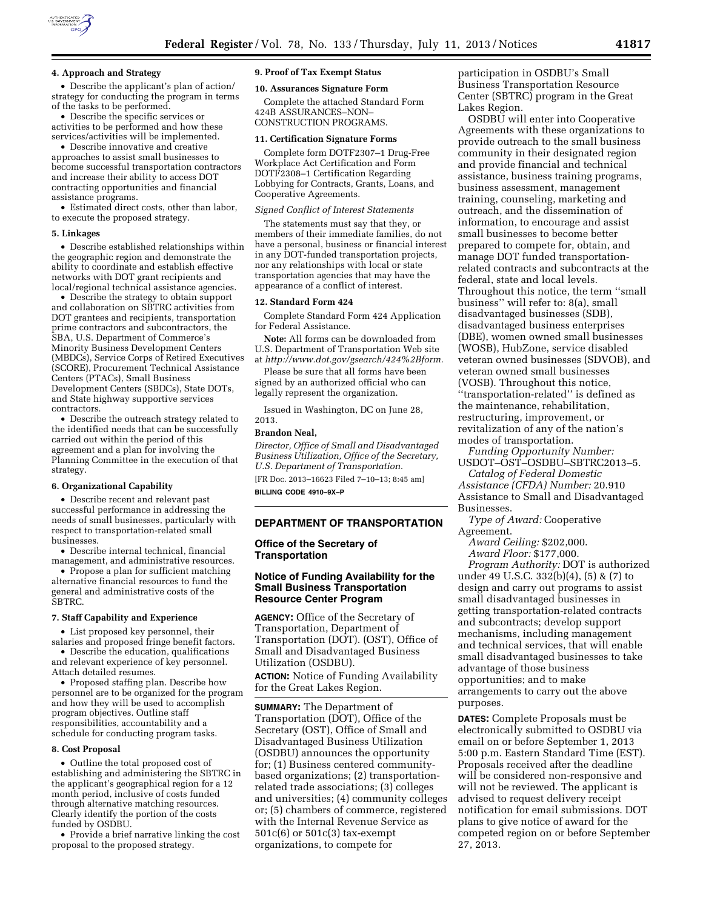

#### **4. Approach and Strategy**

• Describe the applicant's plan of action/ strategy for conducting the program in terms of the tasks to be performed.

• Describe the specific services or activities to be performed and how these services/activities will be implemented.

• Describe innovative and creative approaches to assist small businesses to become successful transportation contractors and increase their ability to access DOT contracting opportunities and financial assistance programs.

• Estimated direct costs, other than labor, to execute the proposed strategy.

#### **5. Linkages**

• Describe established relationships within the geographic region and demonstrate the ability to coordinate and establish effective networks with DOT grant recipients and local/regional technical assistance agencies.

• Describe the strategy to obtain support and collaboration on SBTRC activities from DOT grantees and recipients, transportation prime contractors and subcontractors, the SBA, U.S. Department of Commerce's Minority Business Development Centers (MBDCs), Service Corps of Retired Executives (SCORE), Procurement Technical Assistance Centers (PTACs), Small Business Development Centers (SBDCs), State DOTs, and State highway supportive services contractors.

• Describe the outreach strategy related to the identified needs that can be successfully carried out within the period of this agreement and a plan for involving the Planning Committee in the execution of that strategy.

### **6. Organizational Capability**

• Describe recent and relevant past successful performance in addressing the needs of small businesses, particularly with respect to transportation-related small businesses.

• Describe internal technical, financial management, and administrative resources.

• Propose a plan for sufficient matching alternative financial resources to fund the general and administrative costs of the SBTRC.

### **7. Staff Capability and Experience**

• List proposed key personnel, their salaries and proposed fringe benefit factors.

• Describe the education, qualifications and relevant experience of key personnel. Attach detailed resumes.

• Proposed staffing plan. Describe how personnel are to be organized for the program and how they will be used to accomplish program objectives. Outline staff responsibilities, accountability and a schedule for conducting program tasks.

# **8. Cost Proposal**

• Outline the total proposed cost of establishing and administering the SBTRC in the applicant's geographical region for a 12 month period, inclusive of costs funded through alternative matching resources. Clearly identify the portion of the costs funded by OSDBU.

• Provide a brief narrative linking the cost proposal to the proposed strategy.

#### **9. Proof of Tax Exempt Status**

### **10. Assurances Signature Form**

Complete the attached Standard Form 424B ASSURANCES–NON– CONSTRUCTION PROGRAMS.

# **11. Certification Signature Forms**

Complete form DOTF2307–1 Drug-Free Workplace Act Certification and Form DOTF2308–1 Certification Regarding Lobbying for Contracts, Grants, Loans, and Cooperative Agreements.

#### *Signed Conflict of Interest Statements*

The statements must say that they, or members of their immediate families, do not have a personal, business or financial interest in any DOT-funded transportation projects, nor any relationships with local or state transportation agencies that may have the appearance of a conflict of interest.

#### **12. Standard Form 424**

Complete Standard Form 424 Application for Federal Assistance.

**Note:** All forms can be downloaded from U.S. Department of Transportation Web site at *[http://www.dot.gov/gsearch/424%2Bform.](http://www.dot.gov/gsearch/424%2Bform)* 

Please be sure that all forms have been signed by an authorized official who can legally represent the organization.

Issued in Washington, DC on June 28,

# **Brandon Neal,**

2013.

*Director, Office of Small and Disadvantaged Business Utilization, Office of the Secretary, U.S. Department of Transportation.* 

[FR Doc. 2013–16623 Filed 7–10–13; 8:45 am]

**BILLING CODE 4910–9X–P** 

### **DEPARTMENT OF TRANSPORTATION**

**Office of the Secretary of Transportation** 

# **Notice of Funding Availability for the Small Business Transportation Resource Center Program**

**AGENCY:** Office of the Secretary of Transportation, Department of Transportation (DOT). (OST), Office of Small and Disadvantaged Business Utilization (OSDBU).

**ACTION:** Notice of Funding Availability for the Great Lakes Region.

**SUMMARY:** The Department of Transportation (DOT), Office of the Secretary (OST), Office of Small and Disadvantaged Business Utilization (OSDBU) announces the opportunity for; (1) Business centered communitybased organizations; (2) transportationrelated trade associations; (3) colleges and universities; (4) community colleges or; (5) chambers of commerce, registered with the Internal Revenue Service as 501c(6) or 501c(3) tax-exempt organizations, to compete for

participation in OSDBU's Small Business Transportation Resource Center (SBTRC) program in the Great Lakes Region.

OSDBU will enter into Cooperative Agreements with these organizations to provide outreach to the small business community in their designated region and provide financial and technical assistance, business training programs, business assessment, management training, counseling, marketing and outreach, and the dissemination of information, to encourage and assist small businesses to become better prepared to compete for, obtain, and manage DOT funded transportationrelated contracts and subcontracts at the federal, state and local levels. Throughout this notice, the term ''small business'' will refer to: 8(a), small disadvantaged businesses (SDB), disadvantaged business enterprises (DBE), women owned small businesses (WOSB), HubZone, service disabled veteran owned businesses (SDVOB), and veteran owned small businesses (VOSB). Throughout this notice, ''transportation-related'' is defined as the maintenance, rehabilitation, restructuring, improvement, or revitalization of any of the nation's modes of transportation.

*Funding Opportunity Number:*  USDOT–OST–OSDBU–SBTRC2013–5.

*Catalog of Federal Domestic Assistance (CFDA) Number:* 20.910 Assistance to Small and Disadvantaged Businesses.

*Type of Award:* Cooperative Agreement.

*Award Ceiling:* \$202,000. *Award Floor:* \$177,000.

*Program Authority:* DOT is authorized under 49 U.S.C. 332(b)(4), (5) & (7) to design and carry out programs to assist small disadvantaged businesses in getting transportation-related contracts and subcontracts; develop support mechanisms, including management and technical services, that will enable small disadvantaged businesses to take advantage of those business opportunities; and to make arrangements to carry out the above purposes.

**DATES:** Complete Proposals must be electronically submitted to OSDBU via email on or before September 1, 2013 5:00 p.m. Eastern Standard Time (EST). Proposals received after the deadline will be considered non-responsive and will not be reviewed. The applicant is advised to request delivery receipt notification for email submissions. DOT plans to give notice of award for the competed region on or before September 27, 2013.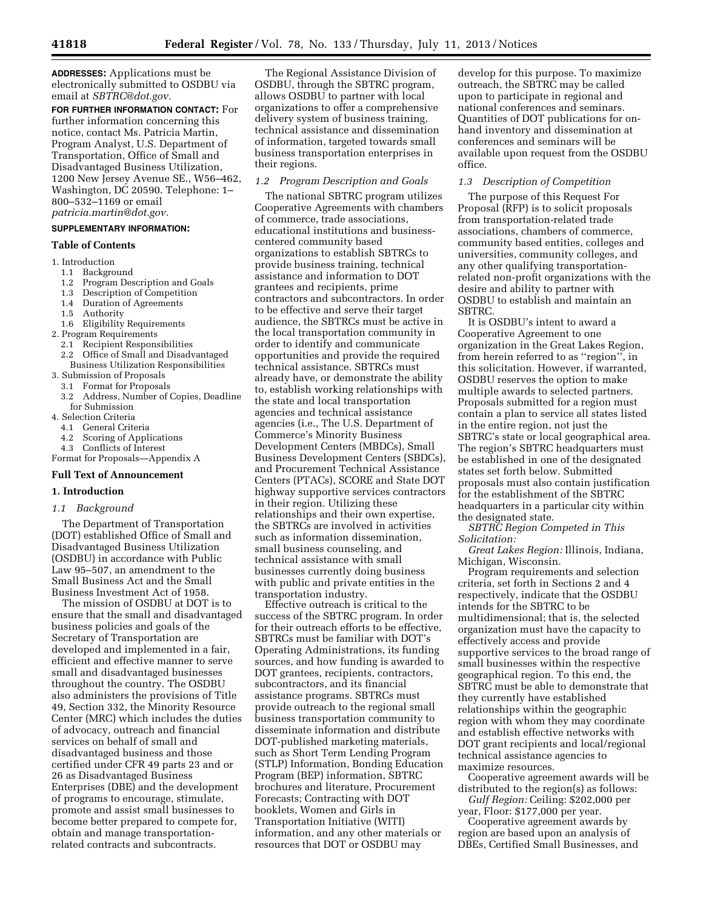**ADDRESSES:** Applications must be electronically submitted to OSDBU via email at *[SBTRC@dot.gov.](mailto:SBTRC@dot.gov)* 

**FOR FURTHER INFORMATION CONTACT:** For further information concerning this notice, contact Ms. Patricia Martin, Program Analyst, U.S. Department of Transportation, Office of Small and Disadvantaged Business Utilization, 1200 New Jersey Avenue SE., W56–462, Washington, DC 20590. Telephone: 1– 800–532–1169 or email *[patricia.martin@dot.gov.](mailto:patricia.martin@dot.gov)* 

# **SUPPLEMENTARY INFORMATION:**

# **Table of Contents**

- 1. Introduction
- 1.1 Background
- 1.2 Program Description and Goals
- 1.3 Description of Competition
- 1.4 Duration of Agreements
- 1.5 Authority
- 1.6 Eligibility Requirements
- 2. Program Requirements
	- 2.1 Recipient Responsibilities
- 2.2 Office of Small and Disadvantaged Business Utilization Responsibilities
- 3. Submission of Proposals
	- 3.1 Format for Proposals
	- 3.2 Address, Number of Copies, Deadline for Submission
- 4. Selection Criteria
	- 4.1 General Criteria
	- 4.2 Scoring of Applications
	- 4.3 Conflicts of Interest

Format for Proposals—Appendix A

# **Full Text of Announcement**

# **1. Introduction**

# *1.1 Background*

The Department of Transportation (DOT) established Office of Small and Disadvantaged Business Utilization (OSDBU) in accordance with Public Law 95–507, an amendment to the Small Business Act and the Small Business Investment Act of 1958.

The mission of OSDBU at DOT is to ensure that the small and disadvantaged business policies and goals of the Secretary of Transportation are developed and implemented in a fair, efficient and effective manner to serve small and disadvantaged businesses throughout the country. The OSDBU also administers the provisions of Title 49, Section 332, the Minority Resource Center (MRC) which includes the duties of advocacy, outreach and financial services on behalf of small and disadvantaged business and those certified under CFR 49 parts 23 and or 26 as Disadvantaged Business Enterprises (DBE) and the development of programs to encourage, stimulate, promote and assist small businesses to become better prepared to compete for, obtain and manage transportationrelated contracts and subcontracts.

The Regional Assistance Division of OSDBU, through the SBTRC program, allows OSDBU to partner with local organizations to offer a comprehensive delivery system of business training, technical assistance and dissemination of information, targeted towards small business transportation enterprises in their regions.

# *1.2 Program Description and Goals*

The national SBTRC program utilizes Cooperative Agreements with chambers of commerce, trade associations, educational institutions and businesscentered community based organizations to establish SBTRCs to provide business training, technical assistance and information to DOT grantees and recipients, prime contractors and subcontractors. In order to be effective and serve their target audience, the SBTRCs must be active in the local transportation community in order to identify and communicate opportunities and provide the required technical assistance. SBTRCs must already have, or demonstrate the ability to, establish working relationships with the state and local transportation agencies and technical assistance agencies (i.e., The U.S. Department of Commerce's Minority Business Development Centers (MBDCs), Small Business Development Centers (SBDCs), and Procurement Technical Assistance Centers (PTACs), SCORE and State DOT highway supportive services contractors in their region. Utilizing these relationships and their own expertise, the SBTRCs are involved in activities such as information dissemination, small business counseling, and technical assistance with small businesses currently doing business with public and private entities in the transportation industry.

Effective outreach is critical to the success of the SBTRC program. In order for their outreach efforts to be effective, SBTRCs must be familiar with DOT's Operating Administrations, its funding sources, and how funding is awarded to DOT grantees, recipients, contractors, subcontractors, and its financial assistance programs. SBTRCs must provide outreach to the regional small business transportation community to disseminate information and distribute DOT-published marketing materials, such as Short Term Lending Program (STLP) Information, Bonding Education Program (BEP) information, SBTRC brochures and literature, Procurement Forecasts; Contracting with DOT booklets, Women and Girls in Transportation Initiative (WITI) information, and any other materials or resources that DOT or OSDBU may

develop for this purpose. To maximize outreach, the SBTRC may be called upon to participate in regional and national conferences and seminars. Quantities of DOT publications for onhand inventory and dissemination at conferences and seminars will be available upon request from the OSDBU office.

# *1.3 Description of Competition*

The purpose of this Request For Proposal (RFP) is to solicit proposals from transportation-related trade associations, chambers of commerce, community based entities, colleges and universities, community colleges, and any other qualifying transportationrelated non-profit organizations with the desire and ability to partner with OSDBU to establish and maintain an SBTRC.

It is OSDBU's intent to award a Cooperative Agreement to one organization in the Great Lakes Region, from herein referred to as ''region'', in this solicitation. However, if warranted, OSDBU reserves the option to make multiple awards to selected partners. Proposals submitted for a region must contain a plan to service all states listed in the entire region, not just the SBTRC's state or local geographical area. The region's SBTRC headquarters must be established in one of the designated states set forth below. Submitted proposals must also contain justification for the establishment of the SBTRC headquarters in a particular city within the designated state.

*SBTRC Region Competed in This Solicitation:* 

*Great Lakes Region:* Illinois, Indiana, Michigan, Wisconsin.

Program requirements and selection criteria, set forth in Sections 2 and 4 respectively, indicate that the OSDBU intends for the SBTRC to be multidimensional; that is, the selected organization must have the capacity to effectively access and provide supportive services to the broad range of small businesses within the respective geographical region. To this end, the SBTRC must be able to demonstrate that they currently have established relationships within the geographic region with whom they may coordinate and establish effective networks with DOT grant recipients and local/regional technical assistance agencies to maximize resources.

Cooperative agreement awards will be distributed to the region(s) as follows: *Gulf Region:* Ceiling: \$202,000 per

year, Floor: \$177,000 per year.

Cooperative agreement awards by region are based upon an analysis of DBEs, Certified Small Businesses, and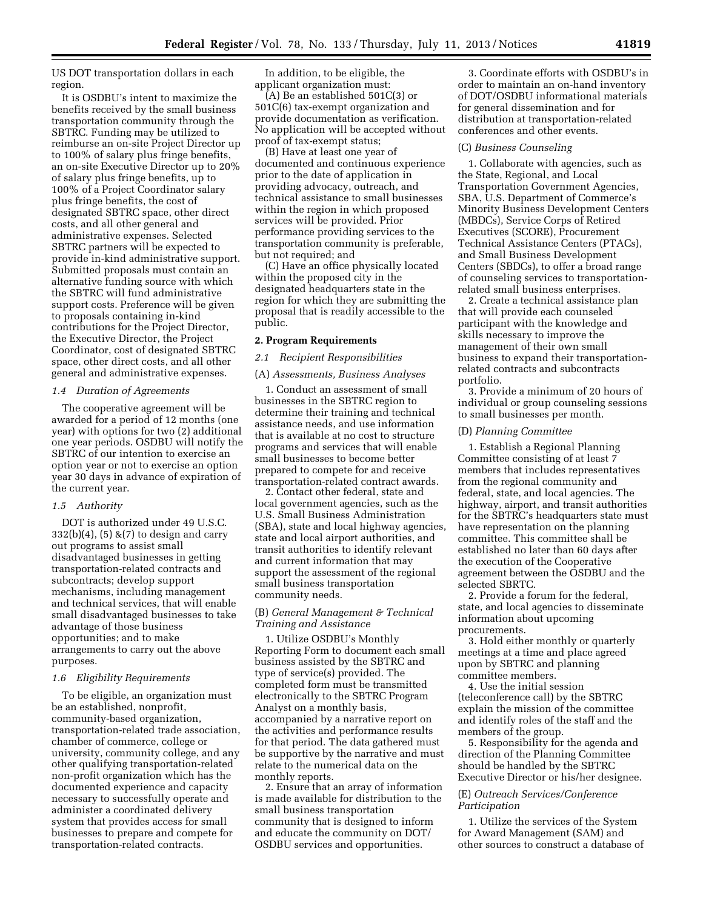US DOT transportation dollars in each region.

It is OSDBU's intent to maximize the benefits received by the small business transportation community through the SBTRC. Funding may be utilized to reimburse an on-site Project Director up to 100% of salary plus fringe benefits, an on-site Executive Director up to 20% of salary plus fringe benefits, up to 100% of a Project Coordinator salary plus fringe benefits, the cost of designated SBTRC space, other direct costs, and all other general and administrative expenses. Selected SBTRC partners will be expected to provide in-kind administrative support. Submitted proposals must contain an alternative funding source with which the SBTRC will fund administrative support costs. Preference will be given to proposals containing in-kind contributions for the Project Director, the Executive Director, the Project Coordinator, cost of designated SBTRC space, other direct costs, and all other general and administrative expenses.

## *1.4 Duration of Agreements*

The cooperative agreement will be awarded for a period of 12 months (one year) with options for two (2) additional one year periods. OSDBU will notify the SBTRC of our intention to exercise an option year or not to exercise an option year 30 days in advance of expiration of the current year.

### *1.5 Authority*

DOT is authorized under 49 U.S.C.  $332(b)(4)$ ,  $(5)$  & $(7)$  to design and carry out programs to assist small disadvantaged businesses in getting transportation-related contracts and subcontracts; develop support mechanisms, including management and technical services, that will enable small disadvantaged businesses to take advantage of those business opportunities; and to make arrangements to carry out the above purposes.

#### *1.6 Eligibility Requirements*

To be eligible, an organization must be an established, nonprofit, community-based organization, transportation-related trade association, chamber of commerce, college or university, community college, and any other qualifying transportation-related non-profit organization which has the documented experience and capacity necessary to successfully operate and administer a coordinated delivery system that provides access for small businesses to prepare and compete for transportation-related contracts.

In addition, to be eligible, the applicant organization must:

(A) Be an established 501C(3) or 501C(6) tax-exempt organization and provide documentation as verification. No application will be accepted without proof of tax-exempt status;

(B) Have at least one year of documented and continuous experience prior to the date of application in providing advocacy, outreach, and technical assistance to small businesses within the region in which proposed services will be provided. Prior performance providing services to the transportation community is preferable, but not required; and

(C) Have an office physically located within the proposed city in the designated headquarters state in the region for which they are submitting the proposal that is readily accessible to the public.

# **2. Program Requirements**

# *2.1 Recipient Responsibilities*

### (A) *Assessments, Business Analyses*

1. Conduct an assessment of small businesses in the SBTRC region to determine their training and technical assistance needs, and use information that is available at no cost to structure programs and services that will enable small businesses to become better prepared to compete for and receive transportation-related contract awards.

2. Contact other federal, state and local government agencies, such as the U.S. Small Business Administration (SBA), state and local highway agencies, state and local airport authorities, and transit authorities to identify relevant and current information that may support the assessment of the regional small business transportation community needs.

# (B) *General Management & Technical Training and Assistance*

1. Utilize OSDBU's Monthly Reporting Form to document each small business assisted by the SBTRC and type of service(s) provided. The completed form must be transmitted electronically to the SBTRC Program Analyst on a monthly basis, accompanied by a narrative report on the activities and performance results for that period. The data gathered must be supportive by the narrative and must relate to the numerical data on the monthly reports.

2. Ensure that an array of information is made available for distribution to the small business transportation community that is designed to inform and educate the community on DOT/ OSDBU services and opportunities.

3. Coordinate efforts with OSDBU's in order to maintain an on-hand inventory of DOT/OSDBU informational materials for general dissemination and for distribution at transportation-related conferences and other events.

#### (C) *Business Counseling*

1. Collaborate with agencies, such as the State, Regional, and Local Transportation Government Agencies, SBA, U.S. Department of Commerce's Minority Business Development Centers (MBDCs), Service Corps of Retired Executives (SCORE), Procurement Technical Assistance Centers (PTACs), and Small Business Development Centers (SBDCs), to offer a broad range of counseling services to transportationrelated small business enterprises.

2. Create a technical assistance plan that will provide each counseled participant with the knowledge and skills necessary to improve the management of their own small business to expand their transportationrelated contracts and subcontracts portfolio.

3. Provide a minimum of 20 hours of individual or group counseling sessions to small businesses per month.

#### (D) *Planning Committee*

1. Establish a Regional Planning Committee consisting of at least 7 members that includes representatives from the regional community and federal, state, and local agencies. The highway, airport, and transit authorities for the SBTRC's headquarters state must have representation on the planning committee. This committee shall be established no later than 60 days after the execution of the Cooperative agreement between the OSDBU and the selected SBRTC.

2. Provide a forum for the federal, state, and local agencies to disseminate information about upcoming procurements.

3. Hold either monthly or quarterly meetings at a time and place agreed upon by SBTRC and planning committee members.

4. Use the initial session (teleconference call) by the SBTRC explain the mission of the committee and identify roles of the staff and the members of the group.

5. Responsibility for the agenda and direction of the Planning Committee should be handled by the SBTRC Executive Director or his/her designee.

# (E) *Outreach Services/Conference Participation*

1. Utilize the services of the System for Award Management (SAM) and other sources to construct a database of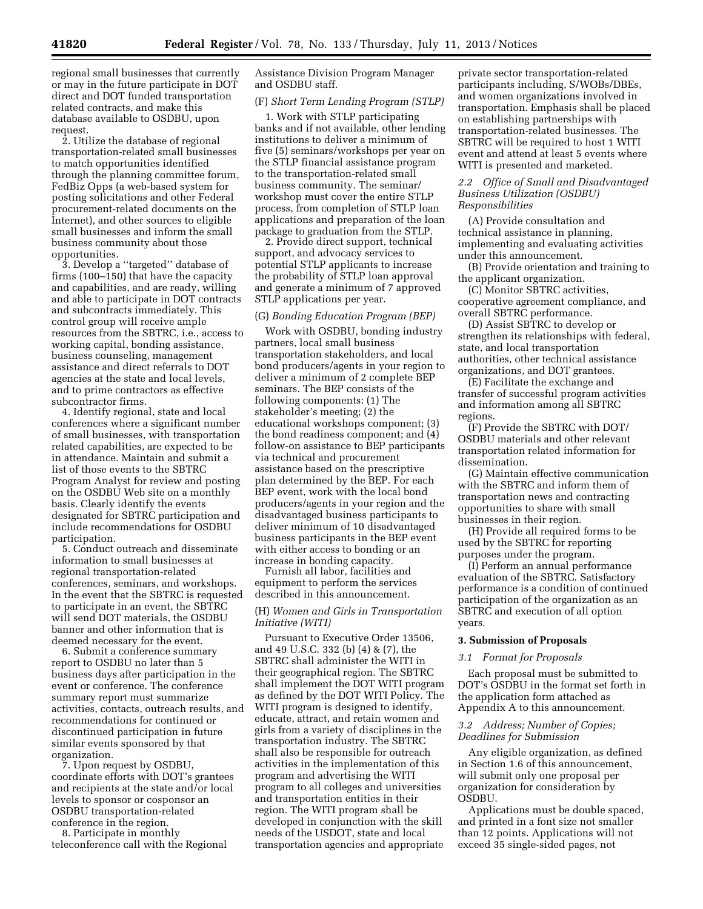regional small businesses that currently or may in the future participate in DOT direct and DOT funded transportation related contracts, and make this database available to OSDBU, upon request.

2. Utilize the database of regional transportation-related small businesses to match opportunities identified through the planning committee forum, FedBiz Opps (a web-based system for posting solicitations and other Federal procurement-related documents on the Internet), and other sources to eligible small businesses and inform the small business community about those opportunities.

3. Develop a ''targeted'' database of firms (100–150) that have the capacity and capabilities, and are ready, willing and able to participate in DOT contracts and subcontracts immediately. This control group will receive ample resources from the SBTRC, i.e., access to working capital, bonding assistance, business counseling, management assistance and direct referrals to DOT agencies at the state and local levels, and to prime contractors as effective subcontractor firms.

4. Identify regional, state and local conferences where a significant number of small businesses, with transportation related capabilities, are expected to be in attendance. Maintain and submit a list of those events to the SBTRC Program Analyst for review and posting on the OSDBU Web site on a monthly basis. Clearly identify the events designated for SBTRC participation and include recommendations for OSDBU participation.

5. Conduct outreach and disseminate information to small businesses at regional transportation-related conferences, seminars, and workshops. In the event that the SBTRC is requested to participate in an event, the SBTRC will send DOT materials, the OSDBU banner and other information that is deemed necessary for the event.

6. Submit a conference summary report to OSDBU no later than 5 business days after participation in the event or conference. The conference summary report must summarize activities, contacts, outreach results, and recommendations for continued or discontinued participation in future similar events sponsored by that organization.

7. Upon request by OSDBU, coordinate efforts with DOT's grantees and recipients at the state and/or local levels to sponsor or cosponsor an OSDBU transportation-related conference in the region.

8. Participate in monthly teleconference call with the Regional Assistance Division Program Manager and OSDBU staff.

### (F) *Short Term Lending Program (STLP)*

1. Work with STLP participating banks and if not available, other lending institutions to deliver a minimum of five (5) seminars/workshops per year on the STLP financial assistance program to the transportation-related small business community. The seminar/ workshop must cover the entire STLP process, from completion of STLP loan applications and preparation of the loan package to graduation from the STLP.

2. Provide direct support, technical support, and advocacy services to potential STLP applicants to increase the probability of STLP loan approval and generate a minimum of 7 approved STLP applications per year.

# (G) *Bonding Education Program (BEP)*

Work with OSDBU, bonding industry partners, local small business transportation stakeholders, and local bond producers/agents in your region to deliver a minimum of 2 complete BEP seminars. The BEP consists of the following components: (1) The stakeholder's meeting; (2) the educational workshops component; (3) the bond readiness component; and (4) follow-on assistance to BEP participants via technical and procurement assistance based on the prescriptive plan determined by the BEP. For each BEP event, work with the local bond producers/agents in your region and the disadvantaged business participants to deliver minimum of 10 disadvantaged business participants in the BEP event with either access to bonding or an increase in bonding capacity.

Furnish all labor, facilities and equipment to perform the services described in this announcement.

# (H) *Women and Girls in Transportation Initiative (WITI)*

Pursuant to Executive Order 13506, and 49 U.S.C. 332 (b) (4) & (7), the SBTRC shall administer the WITI in their geographical region. The SBTRC shall implement the DOT WITI program as defined by the DOT WITI Policy. The WITI program is designed to identify, educate, attract, and retain women and girls from a variety of disciplines in the transportation industry. The SBTRC shall also be responsible for outreach activities in the implementation of this program and advertising the WITI program to all colleges and universities and transportation entities in their region. The WITI program shall be developed in conjunction with the skill needs of the USDOT, state and local transportation agencies and appropriate

private sector transportation-related participants including, S/WOBs/DBEs, and women organizations involved in transportation. Emphasis shall be placed on establishing partnerships with transportation-related businesses. The SBTRC will be required to host 1 WITI event and attend at least 5 events where WITI is presented and marketed.

# *2.2 Office of Small and Disadvantaged Business Utilization (OSDBU) Responsibilities*

(A) Provide consultation and technical assistance in planning, implementing and evaluating activities under this announcement.

(B) Provide orientation and training to the applicant organization.

(C) Monitor SBTRC activities, cooperative agreement compliance, and overall SBTRC performance.

(D) Assist SBTRC to develop or strengthen its relationships with federal, state, and local transportation authorities, other technical assistance organizations, and DOT grantees.

(E) Facilitate the exchange and transfer of successful program activities and information among all SBTRC regions.

(F) Provide the SBTRC with DOT/ OSDBU materials and other relevant transportation related information for dissemination.

(G) Maintain effective communication with the SBTRC and inform them of transportation news and contracting opportunities to share with small businesses in their region.

(H) Provide all required forms to be used by the SBTRC for reporting purposes under the program.

(I) Perform an annual performance evaluation of the SBTRC. Satisfactory performance is a condition of continued participation of the organization as an SBTRC and execution of all option years.

### **3. Submission of Proposals**

### *3.1 Format for Proposals*

Each proposal must be submitted to DOT's OSDBU in the format set forth in the application form attached as Appendix A to this announcement.

# *3.2 Address; Number of Copies; Deadlines for Submission*

Any eligible organization, as defined in Section 1.6 of this announcement, will submit only one proposal per organization for consideration by OSDBU.

Applications must be double spaced, and printed in a font size not smaller than 12 points. Applications will not exceed 35 single-sided pages, not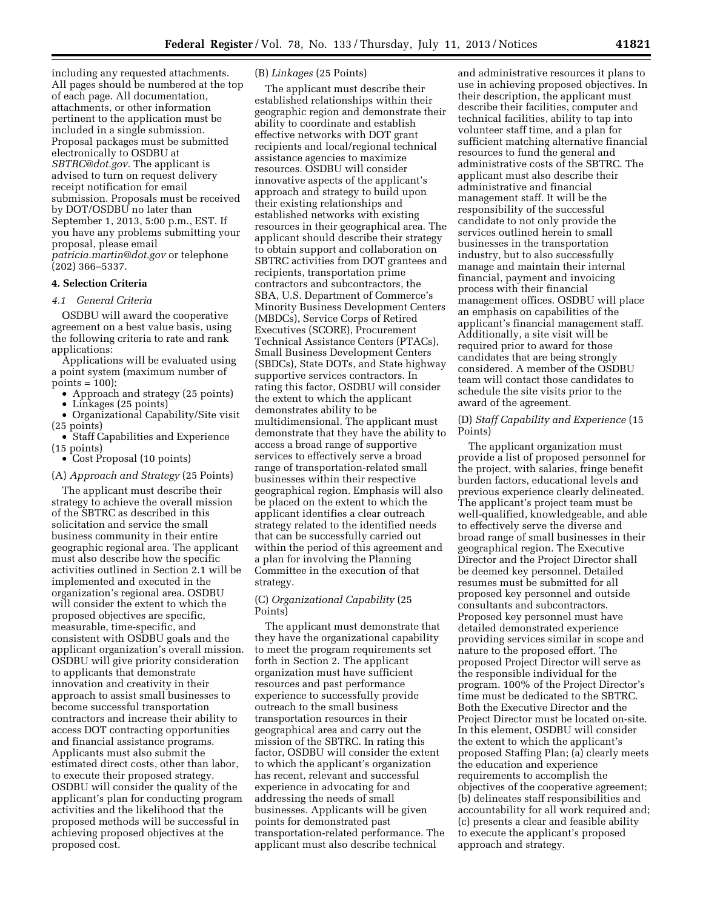including any requested attachments. All pages should be numbered at the top of each page. All documentation, attachments, or other information pertinent to the application must be included in a single submission. Proposal packages must be submitted electronically to OSDBU at *[SBTRC@dot.gov.](mailto:SBTRC@dot.gov)* The applicant is advised to turn on request delivery receipt notification for email submission. Proposals must be received by DOT/OSDBU no later than September 1, 2013, 5:00 p.m., EST. If you have any problems submitting your proposal, please email *[patricia.martin@dot.gov](mailto:patricia.martin@dot.gov)* or telephone (202) 366–5337.

### **4. Selection Criteria**

# *4.1 General Criteria*

OSDBU will award the cooperative agreement on a best value basis, using the following criteria to rate and rank applications:

Applications will be evaluated using a point system (maximum number of  $points = 100$ );

• Approach and strategy (25 points)

• Linkages (25 points)

• Organizational Capability/Site visit (25 points)

• Staff Capabilities and Experience (15 points)

• Cost Proposal (10 points)

#### (A) *Approach and Strategy* (25 Points)

The applicant must describe their strategy to achieve the overall mission of the SBTRC as described in this solicitation and service the small business community in their entire geographic regional area. The applicant must also describe how the specific activities outlined in Section 2.1 will be implemented and executed in the organization's regional area. OSDBU will consider the extent to which the proposed objectives are specific, measurable, time-specific, and consistent with OSDBU goals and the applicant organization's overall mission. OSDBU will give priority consideration to applicants that demonstrate innovation and creativity in their approach to assist small businesses to become successful transportation contractors and increase their ability to access DOT contracting opportunities and financial assistance programs. Applicants must also submit the estimated direct costs, other than labor, to execute their proposed strategy. OSDBU will consider the quality of the applicant's plan for conducting program activities and the likelihood that the proposed methods will be successful in achieving proposed objectives at the proposed cost.

## (B) *Linkages* (25 Points)

The applicant must describe their established relationships within their geographic region and demonstrate their ability to coordinate and establish effective networks with DOT grant recipients and local/regional technical assistance agencies to maximize resources. OSDBU will consider innovative aspects of the applicant's approach and strategy to build upon their existing relationships and established networks with existing resources in their geographical area. The applicant should describe their strategy to obtain support and collaboration on SBTRC activities from DOT grantees and recipients, transportation prime contractors and subcontractors, the SBA, U.S. Department of Commerce's Minority Business Development Centers (MBDCs), Service Corps of Retired Executives (SCORE), Procurement Technical Assistance Centers (PTACs), Small Business Development Centers (SBDCs), State DOTs, and State highway supportive services contractors. In rating this factor, OSDBU will consider the extent to which the applicant demonstrates ability to be multidimensional. The applicant must demonstrate that they have the ability to access a broad range of supportive services to effectively serve a broad range of transportation-related small businesses within their respective geographical region. Emphasis will also be placed on the extent to which the applicant identifies a clear outreach strategy related to the identified needs that can be successfully carried out within the period of this agreement and a plan for involving the Planning Committee in the execution of that strategy.

# (C) *Organizational Capability* (25 Points)

The applicant must demonstrate that they have the organizational capability to meet the program requirements set forth in Section 2. The applicant organization must have sufficient resources and past performance experience to successfully provide outreach to the small business transportation resources in their geographical area and carry out the mission of the SBTRC. In rating this factor, OSDBU will consider the extent to which the applicant's organization has recent, relevant and successful experience in advocating for and addressing the needs of small businesses. Applicants will be given points for demonstrated past transportation-related performance. The applicant must also describe technical

and administrative resources it plans to use in achieving proposed objectives. In their description, the applicant must describe their facilities, computer and technical facilities, ability to tap into volunteer staff time, and a plan for sufficient matching alternative financial resources to fund the general and administrative costs of the SBTRC. The applicant must also describe their administrative and financial management staff. It will be the responsibility of the successful candidate to not only provide the services outlined herein to small businesses in the transportation industry, but to also successfully manage and maintain their internal financial, payment and invoicing process with their financial management offices. OSDBU will place an emphasis on capabilities of the applicant's financial management staff. Additionally, a site visit will be required prior to award for those candidates that are being strongly considered. A member of the OSDBU team will contact those candidates to schedule the site visits prior to the award of the agreement.

### (D) *Staff Capability and Experience* (15 Points)

The applicant organization must provide a list of proposed personnel for the project, with salaries, fringe benefit burden factors, educational levels and previous experience clearly delineated. The applicant's project team must be well-qualified, knowledgeable, and able to effectively serve the diverse and broad range of small businesses in their geographical region. The Executive Director and the Project Director shall be deemed key personnel. Detailed resumes must be submitted for all proposed key personnel and outside consultants and subcontractors. Proposed key personnel must have detailed demonstrated experience providing services similar in scope and nature to the proposed effort. The proposed Project Director will serve as the responsible individual for the program. 100% of the Project Director's time must be dedicated to the SBTRC. Both the Executive Director and the Project Director must be located on-site. In this element, OSDBU will consider the extent to which the applicant's proposed Staffing Plan; (a) clearly meets the education and experience requirements to accomplish the objectives of the cooperative agreement; (b) delineates staff responsibilities and accountability for all work required and; (c) presents a clear and feasible ability to execute the applicant's proposed approach and strategy.